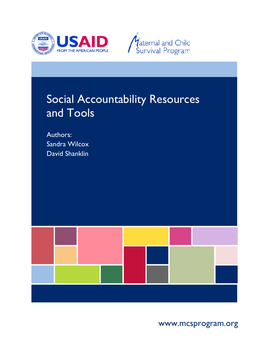



# Social Accountability Resources and Tools

Authors: Sandra Wilcox David Shanklin



www.mcsprogram.org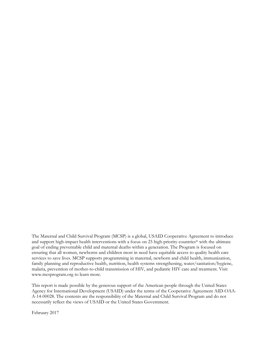The Maternal and Child Survival Program (MCSP) is a global, USAID Cooperative Agreement to introduce and support high-impact health interventions with a focus on 25 high-priority countries\* with the ultimate goal of ending preventable child and maternal deaths within a generation. The Program is focused on ensuring that all women, newborns and children most in need have equitable access to quality health care services to save lives. MCSP supports programming in maternal, newborn and child health, immunization, family planning and reproductive health, nutrition, health systems strengthening, water/sanitation/hygiene, malaria, prevention of mother-to-child transmission of HIV, and pediatric HIV care and treatment. Visit www.mcsprogram.org to learn more.

This report is made possible by the generous support of the American people through the United States Agency for International Development (USAID) under the terms of the Cooperative Agreement AID-OAA-A-14-00028. The contents are the responsibility of the Maternal and Child Survival Program and do not necessarily reflect the views of USAID or the United States Government.

February 2017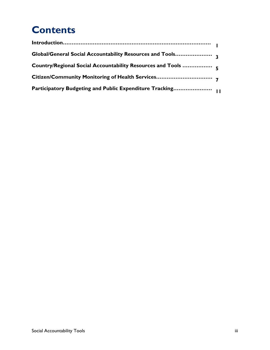# **Contents**

| Global/General Social Accountability Resources and Tools   |  |
|------------------------------------------------------------|--|
| Country/Regional Social Accountability Resources and Tools |  |
| Citizen/Community Monitoring of Health Services            |  |
| Participatory Budgeting and Public Expenditure Tracking    |  |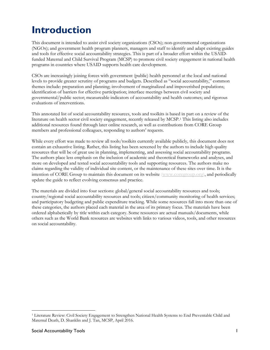# **Introduction**

This document is intended to assist civil society organizations (CSOs); non-governmental organizations (NGOs); and government health program planners, managers and staff to identify and adapt existing guides and tools for effective social accountability strategies. This is part of a broader effort within the USAIDfunded Maternal and Child Survival Program (MCSP) to promote civil society engagement in national health programs in countries where USAID supports health care development.

CSOs are increasingly joining forces with government (public) health personnel at the local and national levels to provide greater scrutiny of programs and budgets. Described as "social accountability," common themes include: preparation and planning; involvement of marginalized and impoverished populations; identification of barriers for effective participation; interface meetings between civil society and governmental/public sector; measureable indicators of accountability and health outcomes; and rigorous evaluations of interventions.

This annotated list of social accountability resources, tools and toolkits is based in part on a review of the literature on health sector civil society engagement, recently released by MCSP.[1](#page-4-0) This listing also includes additional resources found through later online research, as well as contributions from CORE Group members and professional colleagues, responding to authors' requests.

While every effort was made to review all tools/toolkits currently available publicly, this document does not contain an exhaustive listing. Rather, this listing has been screened by the authors to include high quality resources that will be of great use in planning, implementing, and assessing social accountability programs. The authors place less emphasis on the inclusion of academic and theoretical frameworks and analyses, and more on developed and tested social accountability tools and supporting resources. The authors make no claims regarding the validity of individual site content, or the maintenance of these sites over time. It is the intention of CORE Group to maintain this document on its website [\(www.coregroup.org\)](http://www.coregroup.org/), and periodically update the guide to reflect evolving consensus and practice.

The materials are divided into four sections: global/general social accountability resources and tools; country/regional social accountability resources and tools; citizen/community monitoring of health services; and participatory budgeting and public expenditure tracking. While some resources fall into more than one of these categories, the authors placed each material in the area of its primary focus. The materials have been ordered alphabetically by title within each category. Some resources are actual manuals/documents, while others such as the World Bank resources are websites with links to various videos, tools, and other resources on social accountability.

l

<span id="page-4-0"></span><sup>1</sup> Literature Review: Civil Society Engagement to Strengthen National Health Systems to End Preventable Child and Maternal Death, D. Shanklin and J. Tan, MCSP, April 2016.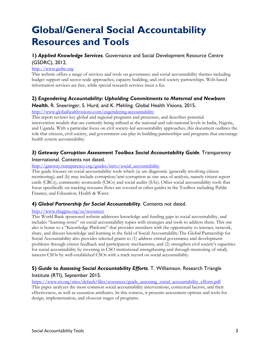# **Global/General Social Accountability Resources and Tools**

# **1)** *Applied Knowledge Services*. Governance and Social Development Resource Centre (GSDRC), 2012.

#### [http://www.gsdrc.org](http://www.gsdrc.org/)

This website offers a range of services and tools on governance and social accountability themes including budget support and sector-wide approaches, capacity building, and civil society partnerships. Web-based information services are free, while special research services incur a fee.

# **2)** *Engendering Accountability: Upholding Commitments to Maternal and Newborn*

#### *Health.* R. Sneeringer, S. Hurd, and K. Mehling. Global Health Visions, 2015.

<http://www.globalhealthvisions.com/engendering-accountability>

This report reviews key global and regional programs and processes, and describes potential intervention models that are currently being utilized at the national and sub-national levels in India, Nigeria, and Uganda. With a particular focus on civil society-led accountability approaches, this document outlines the role that citizens, civil society, and government can play in building partnerships and programs that encourage health system accountability.

# *3) Gateway Corruption Assessment Toolbox Social Accountability Guide.* Transparency

#### International. Contents not dated.

#### [http://gateway.transparency.org/guides/intro/social\\_accountability](http://gateway.transparency.org/guides/intro/social_accountability)

This guide focuses on social accountability tools which (a) are diagnostic (generally involving citizen monitoring); and (b) may include corruption/anti-corruption as one area of analysis, namely citizen report cards (CRCs), community scorecards (CSCs) and social audits (SAs). Other social accountability tools that focus specifically on tracking resource flows are covered in other guides in the Toolbox including Public Finance, and Education, Health & Water.

#### **4)** *Global Partnership for Social Accountability*. Contents not dated.

#### <http://www.thegpsa.org/sa/resources>

This World Bank sponsored website addresses knowledge and funding gaps in social accountability, and includes "learning notes" on social accountability topics with strategies and tools to address them. This site also is home to a "Knowledge Platform" that provides members with the opportunity to interact, network, share, and discuss knowledge and learning in the field of Social Accountability.The Global Partnership for Social Accountability also provides selected grants to (1) address critical governance and development problems through citizen feedback and participatory mechanisms, and (2) strengthen civil society's capacities for social accountability by investing in CSO institutional strengthening and through mentoring of small, nascent CSOs by well-established CSOs with a track record on social accountability.

# **5)** *Guide to Assessing Social Accountability Efforts*. T. Williamson. Research Triangle Institute (RTI), September 2015.

[https://www.rti.org/sites/default/files/resources/guide\\_assessing\\_social\\_accountability\\_efforts.pdf](https://www.rti.org/sites/default/files/resources/guide_assessing_social_accountability_efforts.pdf) This paper analyzes the most common social accountability interventions, contextual factors, and their

effectiveness, as well as causation attributes. In this context, it presents assessment options and tools for design, implementation, and closeout stages of programs.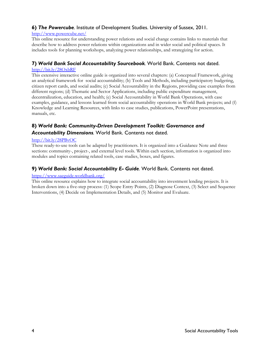# **6)** *The Powercube.* Institute of Development Studies. University of Sussex, 2011.

#### <http://www.powercube.net/>

This online resource for understanding power relations and social change contains links to materials that describe how to address power relations within organizations and in wider social and political spaces. It includes tools for planning workshops, analyzing power relationships, and strategizing for action.

# **7)** *World Bank Social Accountability Sourcebook.* World Bank. Contents not dated.

#### <http://bit.ly/28OxbRF>

This extensive interactive online guide is organized into several chapters: (a) Conceptual Framework, giving an analytical framework for social accountability; (b) Tools and Methods, including participatory budgeting, citizen report cards, and social audits; (c) Social Accountability in the Regions, providing case examples from different regions; (d) Thematic and Sector Applications, including public expenditure management, decentralization, education, and health; (e) Social Accountability in World Bank Operations, with case examples, guidance, and lessons learned from social accountability operations in World Bank projects; and (f) Knowledge and Learning Resources, with links to case studies, publications, PowerPoint presentations, manuals, etc.

# **8)** *World Bank: Community-Driven Development Toolkit: Governance and Accountability Dimensions.* World Bank. Contents not dated.

#### <http://bit.ly/28PBvOC>

These ready-to-use tools can be adapted by practitioners. It is organized into a Guidance Note and three sections: community-, project-, and external level tools. Within each section, information is organized into modules and topics containing related tools, case studies, boxes, and figures.

# **9)** *World Bank: Social Accountability E- Guide.* World Bank. Contents not dated.

#### <https://www.saeguide.worldbank.org/>

This online resource explains how to integrate social accountability into investment lending projects. It is broken down into a five-step process: (1) Scope Entry Points, (2) Diagnose Context, (3) Select and Sequence Interventions, (4) Decide on Implementation Details, and (5) Monitor and Evaluate.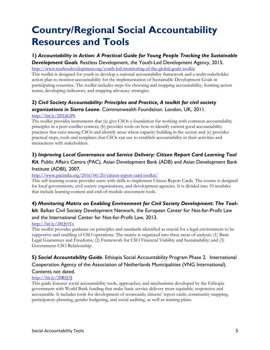# **Country/Regional Social Accountability Resources and Tools**

# **1)** *Accountability in Action: A Practical Guide for Young People Tracking the Sustainable*

*Development Goals.* Restless Development, the Youth-Led Development Agency, 2015.

<http://www.restlessdevelopment.org/youth-led-monitoring-of-the-global-goals-toolkit>

This toolkit is designed for youth to develop a national accountability framework and a multi-stakeholder action plan to monitor accountability for the implementation of Sustainable Development Goals in participating countries. The toolkit includes steps for choosing and mapping accountability, forming action teams, developing indicators, and mapping advocacy strategies.

# **2)** *Civil Society Accountability: Principles and Practice, A toolkit for civil society*

#### *organizations in Sierra Leone*. Commonwealth Foundation. London, UK, 2011.

#### <http://bit.ly/28TaGP6>

The toolkit provides instruments that (a) give CSOs a foundation for working with common accountability principles in a post-conflict context; (b) provides tools on how to identify current good accountability practices that exist among CSOs and identify areas where capacity building in the sector; and (c) provides practical steps, tools and templates that CSOs can use to establish accountability in their activities and interactions with stakeholders.

# **3)** *Improving Local Governance and Service Delivery: Citizen Report Card Learning Tool Kit*. Public Affairs Centre (PAC), Asian Development Bank (ADB) and Asian Development Bank Institute (ADBI), 2007.

<http://www.pacindia.org/2016/06/20/citizen-report-card-toolkit/>

This self-learning course provides users with skills to implement Citizen Report Cards. The course is designed for local governments, civil society organizations, and development agencies. It is divided into 10 modules that include learning content and end-of-module assessment tools.

# **4)** *Monitoring Matrix on Enabling Environment for Civil Society Development: The Tool-*

*kit*. Balkan Civil Society Development Network, the European Center for Not-for-Profit Law and the International Center for Not-for-Profit Law, 2013.

# <http://bit.ly/28Qt5Ys>

This toolkit provides guidance on principles and standards identified as crucial for a legal environment to be supportive and enabling of CSO operations. The matrix is organized into three areas of analysis: (1) Basic Legal Guarantees and Freedoms; (2) Framework for CSO Financial Viability and Sustainability; and (3) Government-CSO Relationship.

# **5)** *Social Accountability Guide*. Ethiopia Social Accountability Program Phase 2. International Cooperation Agency of the Association of Netherlands Municipalities (VNG International).

# Contents not dated.

# <http://bit.ly/28RSJ3J>

This guide features social accountability tools, approaches, and mechanisms developed by the Ethiopia government with World Bank funding that make basic service delivery more equitable, responsive and accountable. It includes tools for development of scorecards, citizens' report cards, community mapping, participatory planning, gender budgeting, and social auditing, as well as training plans.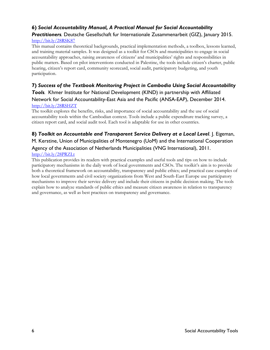# **6)** *Social Accountability Manual, A Practical Manual for Social Accountability*

#### *Practitioners.* Deutsche Gesellschaft fur Internationale Zusammenarbeit (GIZ), January 2015. <http://bit.ly/28RSK87>

This manual contains theoretical backgrounds, practical implementation methods, a toolbox, lessons learned, and training material samples. It was designed as a toolkit for CSOs and municipalities to engage in social accountability approaches, raising awareness of citizens' and municipalities' rights and responsibilities in public matters. Based on pilot interventions conducted in Palestine, the tools include citizen's charter, public hearing, citizen's report card, community scorecard, social audit, participatory budgeting, and youth participation.

# **7)** *Success of the Textbook Monitoring Project in Cambodia Using Social Accountability*

*Tools.* Khmer Institute for National Development (KIND) in partnership with Affiliated Network for Social Accountability-East Asia and the Pacific (ANSA-EAP), December 2014. <http://bit.ly/28RSHZT>

The toolkit explores the benefits, risks, and importance of social accountability and the use of social accountability tools within the Cambodian context. Tools include a public expenditure tracking survey, a citizen report card, and social audit tool. Each tool is adaptable for use in other countries.

# **8)** *Toolkit on Accountable and Transparent Service Delivery at a Local Level*. J. Eigeman,

# M. Kerstine, Union of Municipalities of Montenegro (UoM) and the International Cooperation Agency of the Association of Netherlands Municipalities (VNG International), 2011. <http://bit.ly/28PRZLt>

# This publication provides its readers with practical examples and useful tools and tips on how to include participatory mechanisms in the daily work of local governments and CSOs. The toolkit's aim is to provide both a theoretical framework on accountability, transparency and public ethics; and practical case examples of how local governments and civil society organizations from West and South-East Europe use participatory mechanisms to improve their service delivery and include their citizens in public decision making. The tools

explain how to analyze standards of public ethics and measure citizen awareness in relation to transparency and governance, as well as best practices on transparency and governance.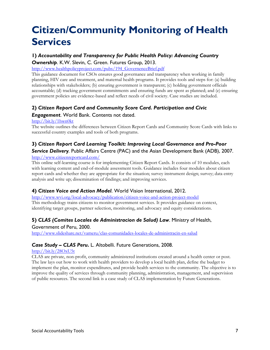# **Citizen/Community Monitoring of Health Services**

# **1)** *Accountability and Transparency for Public Health Policy: Advancing Country Ownership*. K.W. Slevin, C. Green. Futures Group, 2013.

#### [http://www.healthpolicyproject.com/pubs/194\\_GovernenceBrief.pdf](http://www.healthpolicyproject.com/pubs/194_GovernenceBrief.pdf)

This guidance document for CSOs ensures good governance and transparency when working in family planning, HIV care and treatment, and maternal health programs. It provides tools and steps for: (a) building relationships with stakeholders; (b) ensuring government is transparent; (c) holding government officials accountable; (d) tracking government commitments and ensuring funds are spent as planned; and (e) ensuring government policies are evidence-based and reflect needs of civil society. Case studies are included.

# **2)** *Citizen Report Card and Community Score Card. Participation and Civic*

#### *Engagement*. World Bank. Contents not dated.

#### <http://bit.ly/1hwn0kt>

The website outlines the differences between Citizen Report Cards and Community Score Cards with links to successful country examples and tools of both programs.

# **3)** *Citizen Report Card Learning Toolkit: Improving Local Governance and Pro-Poor*

**Service Delivery**. Public Affairs Centre (PAC) and the Asian Development Bank (ADB), 2007. <http://www.citizenreportcard.com/>

This online self-learning course is for implementing Citizen Report Cards. It consists of 10 modules, each with learning content and end-of-module assessment tools. Guidance includes four modules about citizen report cards and whether they are appropriate for the situation; survey instrument design; survey; data entry analysis and write up; dissemination of findings; and improving services.

# **4)** *Citizen Voice and Action Model*. World Vision International, 2012.

[http://www.wvi.org/local-advocacy/publication/citizen-voice-and-action-project-model](http://bit.ly/1R26pWw) This methodology trains citizens to monitor government services. It provides guidance on context, identifying target groups, partner selection, monitoring, and advocacy and equity considerations.

# **5)** *CLAS (Comites Locales de Administracion de Salud) Law*. Ministry of Health,

#### Government of Peru, 2000.

<http://www.slideshare.net/vameru/clas-comunidades-locales-de-administracin-en-salud>

#### *Case Study – CLAS Peru***.** L. Altobelli. Future Generations, 2008.

#### <http://bit.ly/28OxU5t>

CLAS are private, non-profit, community administered institutions created around a health center or post. The law lays out how to work with health providers to develop a local health plan, define the budget to implement the plan, monitor expenditures, and provide health services to the community. The objective is to improve the quality of services through community planning, administration, management, and supervision of public resources. The second link is a case study of CLAS implementation by Future Generations.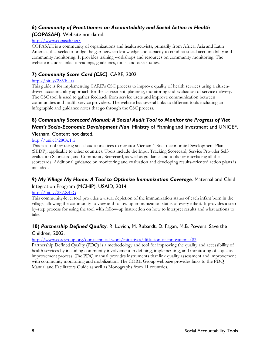# **6)** *Community of Practitioners on Accountability and Social Action in Health (COPASAH***)**. Website not dated.

# <http://www.copasah.net/>

COPASAH is a community of organizations and health activists, primarily from Africa, Asia and Latin America, that seeks to bridge the gap between knowledge and capacity to conduct social accountability and community monitoring. It provides training workshops and resources on community monitoring. The website includes links to readings, guidelines, tools, and case studies.

# **7)** *Community Score Card (CSC)*. CARE, 2002.

#### <http://bit.ly/28VbUrs>

This guide is for implementing CARE's CSC process to improve quality of health services using a citizendriven accountability approach for the assessment, planning, monitoring and evaluation of service delivery. The CSC tool is used to gather feedback from service users and improve communication between communities and health service providers. The website has several links to different tools including an infographic and guidance notes that go through the CSC process.

# **8)** *Community Scorecard Manual: A Social Audit Tool to Monitor the Progress of Viet Nam's Socio-Economic Development Plan*. Ministry of Planning and Investment and UNICEF,

#### Vietnam. Content not dated.

#### <http://uni.cf/28OxT1i>

This is a tool for using social audit practices to monitor Vietnam's Socio-economic Development Plan (SEDP), applicable to other countries. Tools include the Input Tracking Scorecard, Service Provider Selfevaluation Scorecard, and Community Scorecard, as well as guidance and tools for interfacing all the scorecards. Additional guidance on monitoring and evaluation and developing results-oriented action plans is included.

# **9)** *My Village My Home: A Tool to Optimize Immunization Coverage*. Maternal and Child Integration Program (MCHIP), USAID, 2014

#### <http://bit.ly/28ZX4xG>

This community-level tool provides a visual depiction of the immunization status of each infant born in the village, allowing the community to view and follow up immunization status of every infant. It provides a stepby-step process for using the tool with follow-up instruction on how to interpret results and what actions to take.

# **10)** *Partnership Defined Quality*. R. Lovich, M. Rubardt, D. Fagan, M.B. Powers. Save the Children, 2003.

#### <http://www.coregroup.org/our-technical-work/initiatives/diffusion-of-innovations/83>

Partnership Defined Quality (PDQ) is a methodology and tool for improving the quality and accessibility of health services by including community involvement in defining, implementing, and monitoring of a quality improvement process. The PDQ manual provides instruments that link quality assessment and improvement with community monitoring and mobilization. The CORE Group webpage provides links to the PDQ Manual and Facilitators Guide as well as Monographs from 11 countries.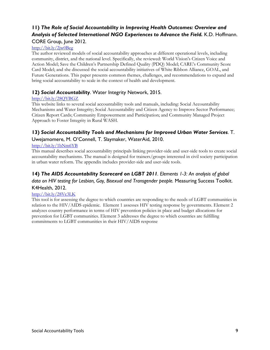# **11)** *The Role of Social Accountability in Improving Health Outcomes: Overview and Analysis of Selected International NGO Experiences to Advance the Field.* K.D. Hoffmann.

#### CORE Group, June 2012.

#### <http://bit.ly/2jw0Beg>

The author reviewed models of social accountability approaches at different operational levels, including community, district, and the national level. Specifically, she reviewed: World Vision's Citizen Voice and Action Model; Save the Children's Partnership Defined Quality (PDQ) Model; CARE's Community Score Card Model; and she discussed the social accountability initiatives of White Ribbon Alliance, GOAL, and Future Generations. This paper presents common themes, challenges, and recommendations to expand and bring social accountability to scale in the context of health and development.

# **12)** *Social Accountability*. Water Integrity Network, 2015.

#### <http://bit.ly/28QYBGZ>

This website links to several social accountability tools and manuals, including: Social Accountability Mechanisms and Water Integrity; Social Accountability and Citizen Agency to Improve Sector Performance; Citizen Report Cards; Community Empowerment and Participation; and Community Managed Project Approach to Foster Integrity in Rural WASH.

# **13)** *Social Accountability Tools and Mechanisms for Improved Urban Water Services*. T. Uwejamomere, M. O'Connell, T. Slaymaker, WaterAid, 2010.

#### <http://bit.ly/1bNm6YB>

This manual describes social accountability principals linking provider-side and user-side tools to create social accountability mechanisms. The manual is designed for trainers/groups interested in civil society participation in urban water reform. The appendix includes provider-side and user-side tools.

# **14)** *The AIDS Accountability Scorecard on LGBT 2011. Elements 1-3: An analysis of global data on HIV testing for Lesbian, Gay, Bisexual and Transgender people.* Measuring Success Toolkit. K4Health, 2012.

#### <http://bit.ly/28Vc3LK>

This tool is for assessing the degree to which countries are responding to the needs of LGBT communities in relation to the HIV/AIDS epidemic. Element 1 assesses HIV testing response by governments. Element 2 analyzes country performance in terms of HIV prevention policies in place and budget allocations for prevention for LGBT communities. Element 3 addresses the degree to which countries are fulfilling commitments to LGBT communities in their HIV/AIDS response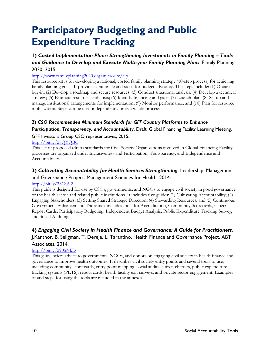# **Participatory Budgeting and Public Expenditure Tracking**

# **1)** *Costed Implementation Plans: Strengthening Investments in Family Planning – Tools and Guidance to Develop and Execute Multi-year Family Planning Plans*. Family Planning 2020, 2015.

#### <http://www.familyplanning2020.org/microsite/cip>

This resource kit is for developing a national, costed family planning strategy (10-step process) for achieving family planning goals. It provides a rationale and steps for budget advocacy. The steps include: (1) Obtain buy-in; (2) Develop a roadmap and secure resources; (3) Conduct situational analysis; (4) Develop a technical strategy; (5) Estimate resources and costs; (6) Identify financing and gaps; (7) Launch plan; (8) Set up and manage institutional arrangements for implementation; (9) Monitor performance; and (10) Plan for resource mobilization. Steps can be used independently or as a whole process.

#### **2)** *CSO Recommended Minimum Standards for GFF Country Platforms to Enhance*

*Participation, Transparency, and Accountability*, Draft*.* Global Financing Facility Learning Meeting.

#### GFF Investors Group CSO representatives, 2015.

#### <http://bit.ly/28QYQBC>

This list of proposed (draft) standards for Civil Society Organizations involved in Global Financing Facility processes are organized under Inclusiveness and Participation; Transparency; and Independence and Accountability.

# **3)** *Cultivating Accountability for Health Services Strengthening*. Leadership, Management and Governance Project. Management Sciences for Health, 2014.

#### <http://bit.ly/28Oy6l2>

This guide is designed for use by CSOs, governments, and NGOs to engage civil society in good governance of the health sector and related public institutions. It includes five guides: (1) Cultivating Accountability; (2) Engaging Stakeholders; (3) Setting Shared Strategic Direction; (4) Stewarding Resources; and (5) Continuous Government Enhancement. The annex includes tools for Accreditation, Community Scorecards, Citizen Report Cards, Participatory Budgeting, Independent Budget Analysis, Public Expenditure Tracking Survey, and Social Auditing.

# **4)** *Engaging Civil Society in Health Finance and Governance: A Guide for Practitioners*.

# J.Kanthor, B. Seligman, T. Dereje, L. Tarantino. Health Finance and Governance Project. ABT Associates, 2014.

#### <http://bit.ly/2905NkD>

This guide offers advice to governments, NGOs, and donors on engaging civil society in health finance and governance to improve health outcomes. It describes civil society entry points and several tools to use, including community score cards, entry point mapping, social audits, citizen charters, public expenditure tracking systems (PETS), report cards, health facility exit surveys, and private sector engagement. Examples of and steps for using the tools are included in the annexes.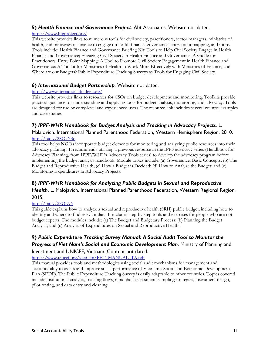### **5)** *Health Finance and Governance Project*. Abt Associates. Website not dated.

#### <https://www.hfgproject.org/>

This website provides links to numerous tools for civil society, practitioners, sector managers, ministries of health, and ministries of finance to engage on health finance, governance, entry point mapping, and more. Tools include: Health Finance and Governance Briefing Kit; Tools to Help Civil Society Engage in Health Finance and Governance; Engaging Civil Society in Health Finance and Governance: A Guide for Practitioners; Entry Point Mapping: A Tool to Promote Civil Society Engagement in Health Finance and Governance; A Toolkit for Ministries of Health to Work More Effectively with Ministries of Finance; and Where are our Budgets? Public Expenditure Tracking Surveys as Tools for Engaging Civil Society.

#### **6)** *International Budget Partnership*. Website not dated.

#### <http://www.internationalbudget.org/>

This website provides links to resources for CSOs on budget development and monitoring. Toolkits provide practical guidance for understanding and applying tools for budget analysis, monitoring, and advocacy. Tools are designed for use by entry-level and experienced users. The resource link includes several country examples and case studies.

# **7)** *IPPF-WHR Handbook for Budget Analysis and Tracking in Advocacy Projects*. L.

#### Malajovich. International Planned Parenthood Federation, Western Hemisphere Region, 2010. <http://bit.ly/28OxYSq>

This tool helps NGOs incorporate budget elements for monitoring and analyzing public resources into their advocacy planning. It recommends utilizing a previous resource in the IPPF advocacy series (Handbook for Advocacy Planning, from IPPF/WHR's Advocacy Tools series) to develop the advocacy program before implementing the budget analysis handbook. Module topics include: (a) Governance: Basic Concepts; (b) The Budget and Reproductive Health; (c) How a Budget is Decided; (d) How to Analyze the Budget; and (e) Monitoring Expenditures in Advocacy Projects.

# **8)** *IPPF-WHR Handbook for Analyzing Public Budgets in Sexual and Reproductive*

# *Health*. L. Malojavich. International Planned Parenthood Federation, Western Regional Region, 2015.

#### <http://bit.ly/28QtZ7j>

This guide explains how to analyze a sexual and reproductive health (SRH) public budget, including how to identify and where to find relevant data. It includes step-by-step tools and exercises for people who are not budget experts. The modules include: (a) The Budget and Budgetary Process; (b) Planning the Budget Analysis; and (c) Analysis of Expenditures on Sexual and Reproductive Health.

# **9)** *Public Expenditure Tracking Survey Manual: A Social Audit Tool to Monitor the Progress of Viet Nam's Social and Economic Development Plan*. Ministry of Planning and

#### Investment and UNICEF, Vietnam. Content not dated.

#### [https://www.unicef.org/vietnam/PET\\_MANUAL\\_TA.pdf](https://www.unicef.org/vietnam/PET_MANUAL_TA.pdf)

This manual provides tools and methodologies using social audit mechanisms for management and accountability to assess and improve social performance of Vietnam's Social and Economic Development Plan (SEDP). The Public Expenditure Tracking Survey is easily adaptable to other countries. Topics covered include institutional analysis, tracking flows, rapid data assessment, sampling strategies, instrument design, pilot testing, and data entry and cleaning.